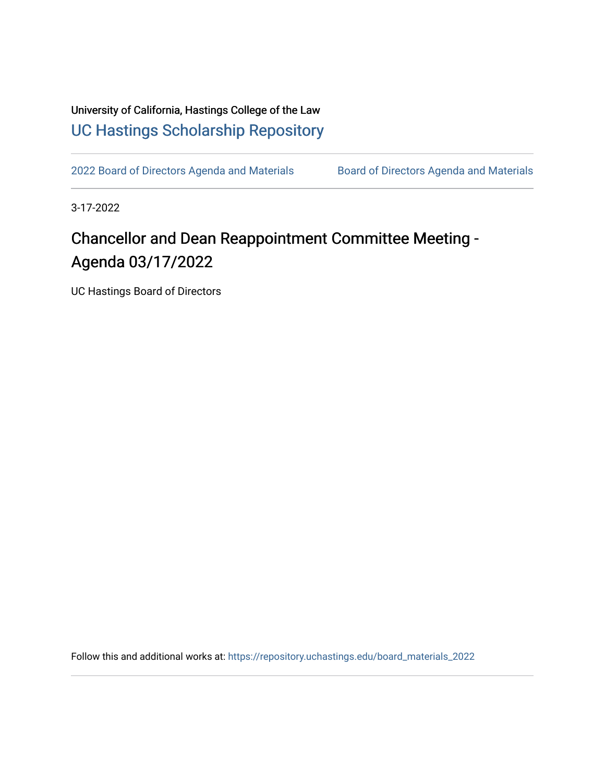University of California, Hastings College of the Law [UC Hastings Scholarship Repository](https://repository.uchastings.edu/) 

[2022 Board of Directors Agenda and Materials](https://repository.uchastings.edu/board_materials_2022) Board of Directors Agenda and Materials

3-17-2022

## Chancellor and Dean Reappointment Committee Meeting - Agenda 03/17/2022

UC Hastings Board of Directors

Follow this and additional works at: [https://repository.uchastings.edu/board\\_materials\\_2022](https://repository.uchastings.edu/board_materials_2022?utm_source=repository.uchastings.edu%2Fboard_materials_2022%2F16&utm_medium=PDF&utm_campaign=PDFCoverPages)